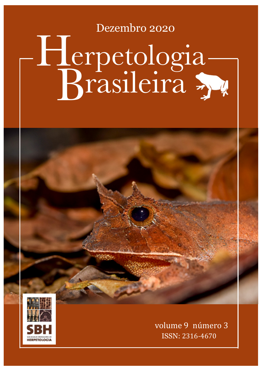## Dezembro 2020 Brasileira Herpetologia



volume 9 número 3 ISSN: 2316-4670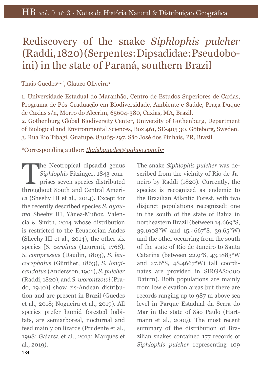## Rediscovery of the snake *Siphlophis pulcher* (Raddi, 1820) (Serpentes: Dipsadidae: Pseudoboini) in the state of Paraná, southern Brazil

Thaís Guedes<sup>1,2,\*</sup>, Glauco Oliveira<sup>3</sup>

1. Universidade Estadual do Maranhão, Centro de Estudos Superiores de Caxias, Programa de Pós-Graduação em Biodiversidade, Ambiente e Saúde, Praça Duque de Caxias s/n, Morro do Alecrim, 65604-380, Caxias, MA, Brazil.

2. Gothenburg Global Biodiversity Center, University of Gothenburg, Department of Biological and Environmental Sciences, Box 461, SE-405 30, Göteborg, Sweden. 3. Rua Rio Tibagi, Guatupê, 83065-297, São José dos Pinhais, PR, Brazil.

\*Corresponding author: *thaisbguedes@yahoo.com.br*

The Neotropical dipsadid genus<br>Siphlophis Fitzinger, 1843 com-<br>prises seven species distributed *Siphlophis* Fitzinger, 1843 comprises seven species distributed throughout South and Central America (Sheehy III et al., 2014). Except for the recently described species *S. ayauma* Sheehy III, Yánez-Muñoz, Valencia & Smith, 2014 whose distribution is restricted to the Ecuadorian Andes (Sheehy III et al., 2014), the other six species [*S. cervinus* (Laurenti, 1768), *S. compressus* (Daudin, 1803), *S. leucocephalus* (Günther, 1863), *S. longicaudatus* (Andersson, 1901), *S. pulcher* (Raddi, 1820), and *S. worontzowi* (Prado, 1940)] show cis-Andean distribution and are present in Brazil (Guedes et al., 2018; Nogueira et al., 2019). All species prefer humid forested habitats, are semiarboreal, nocturnal and feed mainly on lizards (Prudente et al., 1998; Gaiarsa et al., 2013; Marques et al., 2019).

The snake *Siphlophis pulcher* was described from the vicinity of Rio de Janeiro by Raddi (1820). Currently, the species is recognized as endemic to the Brazilian Atlantic Forest, with two disjunct populations recognized: one in the south of the state of Bahia in northeastern Brazil (between 14.669°S, 39.1908°W and 15.4667°S, 39.65°W) and the other occurring from the south of the state of Rio de Janeiro to Santa Catarina (between 22.9°S, 43.1883°W and 27.6°S, 48.4667°W) (all coordinates are provided in SIRGAS2000 Datum). Both populations are mainly from low elevation areas but there are records ranging up to 987 m above sea level in Parque Estadual da Serra do Mar in the state of São Paulo (Hartmann et al., 2009). The most recent summary of the distribution of Brazilian snakes contained 177 records of *Siphlophis pulcher* representing 109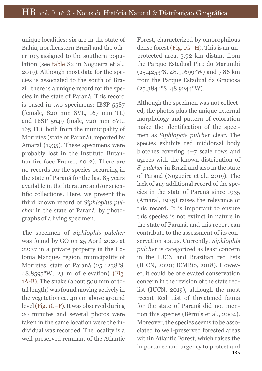unique localities: six are in the state of Bahia, northeastern Brazil and the other 103 assigned to the southern population (see table S2 in Nogueira et al., 2019). Although most data for the species is associated to the south of Brazil, there is a unique record for the species in the state of Paraná. This record is based in two specimens: IBSP 5587 (female, 820 mm SVL, 167 mm TL) and IBSP 5649 (male, 720 mm SVL, 165 TL), both from the municipality of Morretes (state of Paraná), reported by Amaral (1935). These specimens were probably lost in the Instituto Butantan fre (see Franco, 2012). There are no records for the species occurring in the state of Paraná for the last 85 years available in the literature and/or scientifc collections. Here, we present the third known record of *Siphlophis pulcher* in the state of Paraná, by photographs of a living specimen.

The specimen of *Siphlophis pulcher* was found by GO on 25 April 2020 at 22:37 in a private property in the Colonia Marques region, municipality of Morretes, state of Paraná (25.4238°S, 48.8595°W; 23 m of elevation) (Fig. 1A-B). The snake (about 500 mm of total length) was found moving actively in the vegetation ca. 40 cm above ground level (Fig. 1C–F). It was observed during 20 minutes and several photos were taken in the same location were the individual was recorded. The locality is a well-preserved remnant of the Atlantic

Forest, characterized by ombrophilous dense forest (Fig. 1G–H). This is an unprotected area, 5.92 km distant from the Parque Estadual Pico do Marumbi (25.4253°S, 48.91699°W) and 7.86 km from the Parque Estadual da Graciosa (25.3844°S, 48.9244°W).

135 Although the specimen was not collected, the photos plus the unique external morphology and pattern of coloration make the identifcation of the specimen as *Siphlophis pulcher* clear. The species exhibits red middorsal body blotches covering 4–7 scale rows and agrees with the known distribution of *S. pulcher* in Brazil and also in the state of Paraná (Nogueira et al., 2019). The lack of any additional record of the species in the state of Paraná since 1935 (Amaral, 1935) raises the relevance of this record. It is important to ensure this species is not extinct in nature in the state of Paraná, and this report can contribute to the assessment of its conservation status. Currently, *Siphlophis pulcher* is categorized as least concern in the IUCN and Brazilian red lists (IUCN, 2020; ICMBio, 2018). However, it could be of elevated conservation concern in the revision of the state redlist (IUCN, 2019), although the most recent Red List of threatened fauna for the state of Paraná did not mention this species (Bérnils et al., 2004). Moreover, the species seems to be associated to well-preserved forested areas within Atlantic Forest, which raises the importance and urgency to protect and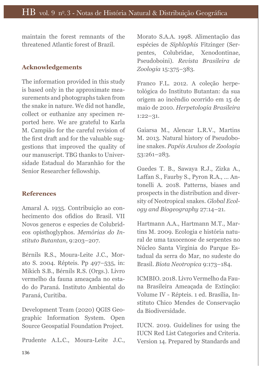maintain the forest remnants of the threatened Atlantic forest of Brazil.

## **Acknowledgements**

The information provided in this study is based only in the approximate measurements and photographs taken from the snake in nature. We did not handle, collect or euthanize any specimen reported here. We are grateful to Karla M. Campião for the careful revision of the frst draft and for the valuable suggestions that improved the quality of our manuscript. TBG thanks to Universidade Estadual do Maranhão for the Senior Researcher fellowship.

## **References**

Amaral A. 1935. Contribuição ao conhecimento dos ofídios do Brasil. VII Novos generos e especies de Colubrideos opisthoglyphos. *Memórias do Instituto Butantan*, 9:203–207.

Bérnils R.S., Moura-Leite J.C., Morato S. 2004. Répteis. Pp 497–535, in: Mikich S.B., Bérnils R.S. (Orgs.). Livro vermelho da fauna ameaçada no estado do Paraná. Instituto Ambiental do Paraná, Curitiba.

Development Team (2020) QGIS Geographic Information System. Open Source Geospatial Foundation Project.

Prudente A.L.C., Moura-Leite J.C.,

Morato S.A.A. 1998. Alimentação das espécies de *Siphlophis* Fitzinger (Serpentes, Colubridae, Xenodontinae, Pseudoboini). *Revista Brasileira de Zoologia* 15:375–383.

Franco F.L. 2012. A coleção herpetológica do Instituto Butantan: da sua origem ao incêndio ocorrido em 15 de maio de 2010. *Herpetologia Brasileira* 1:22–31.

Gaiarsa M., Alencar L.R.V., Martins M. 2013. Natural history of Pseudoboine snakes. *Papéis Avulsos de Zoologia* 53:261–283.

Guedes T. B., Sawaya R.J., Zizka A., Laffan S., Faurby S., Pyron R.A., ... Antonelli A. 2018. Patterns, biases and prospects in the distribution and diversity of Neotropical snakes. *Global Ecology and Biogeography* 27:14–21.

Hartmann A.A., Hartmann M.T., Martins M. 2009. Ecologia e história natural de uma taxocenose de serpentes no Núcleo Santa Virgínia do Parque Estadual da serra do Mar, no sudeste do Brasil. *Biota Neotropica* 9:173–184.

ICMBIO. 2018. Livro Vermelho da Fauna Brasileira Ameaçada de Extinção: Volume IV - Répteis. 1 ed. Brasília, Instituto Chico Mendes de Conservação da Biodiversidade.

IUCN. 2019. Guidelines for using the IUCN Red List Categories and Criteria. Version 14. Prepared by Standards and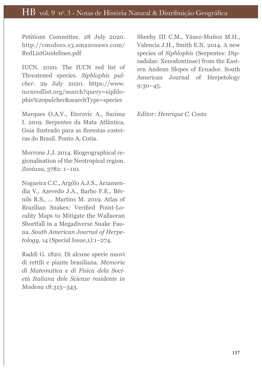Petitions Committee. 28 July 2020. http://cmsdocs.s3.amazonaws.com/ RedListGuidelines.pdf

IUCN. 2020. The IUCN red list of Threatened species. *Siphlophis pulcher*. 29 July 2020. https://www. iucnredlist.org/search?query=siphlophis%20pulcher&searchType=species

Marques O.A.V., Eterovic A., Sazima I. 2019. Serpentes da Mata Atlântica. Guia ilustrado para as forestas costeiras do Brasil. Ponto A, Cotia.

Morrone J.J. 2014. Biogeographical regionalisation of the Neotropical region. *Zootaxa*, 3782: 1–110.

Nogueira C.C., Argôlo A.J.S., Arzamendia V., Azevedo J.A., Barbo F.E., Bérnils R.S., … Martins M. 2019. Atlas of Brazilian Snakes: Verifed Point-Locality Maps to Mitigate the Wallacean Shortfall in a Megadiverse Snake Fauna. *South American Journal of Herpetology*, 14 (Special Issue,1):1–274.

Raddi G. 1820. Di alcune specie nuovi di rettili e piante brasiliana. *Memorie di Matematica e di Fisica dela Società Italiana dele Scienze residente in Modena* 18:313–343.

Sheehy III C.M., Yánez-Muñoz M.H., Valencia J.H., Smith E.N. 2014. A new species of *Siphlophis* (Serpentes: Dipsadidae: Xenodontinae) from the Eastern Andean Slopes of Ecuador. South American Journal of Herpetology 9:30–45.

*Editor: Henrique C. Costa*